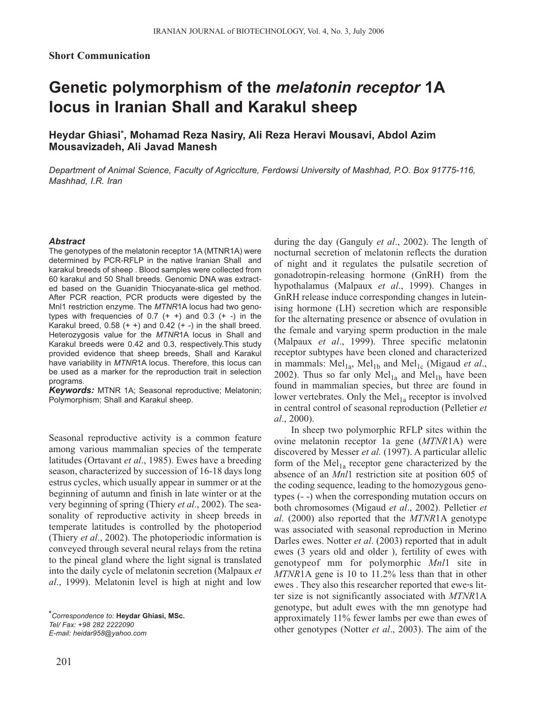## **Genetic polymorphism of the** *melatonin receptor* **1A locus in Iranian Shall and Karakul sheep**

**Heydar Ghiasi\*, Mohamad Reza Nasiry, Ali Reza Heravi Mousavi, Abdol Azim Mousavizadeh, Ali Javad Manesh**

*Department of Animal Science, Faculty of Agricclture, Ferdowsi University of Mashhad, P.O. Box 91775-116, Mashhad, I.R. Iran*

## *Abstract*

The genotypes of the melatonin receptor 1A (MTNR1A) were determined by PCR-RFLP in the native Iranian Shall and karakul breeds of sheep . Blood samples were collected from 60 karakul and 50 Shall breeds. Genomic DNA was extracted based on the Guanidin Thiocyanate-slica gel method. After PCR reaction, PCR products were digested by the Mnl1 restriction enzyme. The *MTNR*1A locus had two genotypes with frequencies of 0.7  $(+ +)$  and 0.3  $(+ -)$  in the Karakul breed,  $0.58$  (+ +) and  $0.42$  (+ -) in the shall breed. Heterozygosis value for the *MTNR*1A locus in Shall and Karakul breeds were 0.42 and 0.3, respectively.This study provided evidence that sheep breeds, Shall and Karakul have variability in *MTNR*1A locus. Therefore, this locus can be used as a marker for the reproduction trait in selection programs.

*Keywords:* MTNR 1A; Seasonal reproductive; Melatonin; Polymorphism; Shall and Karakul sheep.

Seasonal reproductive activity is a common feature among various mammalian species of the temperate latitudes (Ortavant *et al*., 1985). Ewes have a breeding season, characterized by succession of 16-18 days long estrus cycles, which usually appear in summer or at the beginning of autumn and finish in late winter or at the very beginning of spring (Thiery *et al*., 2002). The seasonality of reproductive activity in sheep breeds in temperate latitudes is controlled by the photoperiod (Thiery *et al*., 2002). The photoperiodic information is conveyed through several neural relays from the retina to the pineal gland where the light signal is translated into the daily cycle of melatonin secretion (Malpaux *et al*., 1999). Melatonin level is high at night and low

*\*Correspondence to:* **Heydar Ghiasi, MSc.**  *Tel/ Fax: +98 282 2222090 E-mail: heidar958@yahoo.com*

201

during the day (Ganguly *et al*., 2002). The length of nocturnal secretion of melatonin reflects the duration of night and it regulates the pulsatile secretion of gonadotropin-releasing hormone (GnRH) from the hypothalamus (Malpaux *et al*., 1999). Changes in GnRH release induce corresponding changes in luteinising hormone (LH) secretion which are responsible for the alternating presence or absence of ovulation in the female and varying sperm production in the male (Malpaux *et al*., 1999). Three specific melatonin receptor subtypes have been cloned and characterized in mammals:  $Mel<sub>1a</sub>$ ,  $Mel<sub>1b</sub>$  and  $Mel<sub>1c</sub>$  (Migaud *et al.*, 2002). Thus so far only  $Mel<sub>1a</sub>$  and  $Mel<sub>1b</sub>$  have been found in mammalian species, but three are found in lower vertebrates. Only the  $Mel<sub>1a</sub>$  receptor is involved in central control of seasonal reproduction (Pelletier *et al*., 2000).

In sheep two polymorphic RFLP sites within the ovine melatonin receptor 1a gene (*MTNR*1A) were discovered by Messer *et al.* (1997). A particular allelic form of the  $Mel<sub>1a</sub>$  receptor gene characterized by the absence of an *Mnl*1 restriction site at position 605 of the coding sequence, leading to the homozygous genotypes (- -) when the corresponding mutation occurs on both chromosomes (Migaud *et al*., 2002). Pelletier *et al*. (2000) also reported that the *MTNR*1A genotype was associated with seasonal reproduction in Merino Darles ewes. Notter *et al*. (2003) reported that in adult ewes (3 years old and older ), fertility of ewes with genotypeof mm for polymorphic *Mnl*1 site in *MTNR*1A gene is 10 to 11.2% less than that in other ewes . They also this researcher reported that ewe's litter size is not significantly associated with *MTNR*1A genotype, but adult ewes with the mn genotype had approximately 11% fewer lambs per ewe than ewes of other genotypes (Notter *et al*., 2003). The aim of the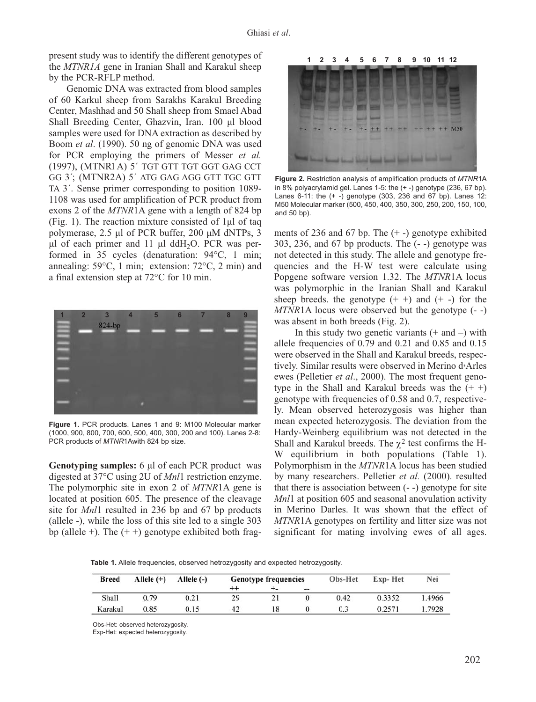present study was to identify the different genotypes of the *MTNR1A* gene in Iranian Shall and Karakul sheep by the PCR-RFLP method.

Genomic DNA was extracted from blood samples of 60 Karkul sheep from Sarakhs Karakul Breeding Center, Mashhad and 50 Shall sheep from Smael Abad Shall Breeding Center, Ghazvin, Iran. 100 µl blood samples were used for DNA extraction as described by Boom *et al*. (1990). 50 ng of genomic DNA was used for PCR employing the primers of Messer *et al.* (1997), (MTNR1A) 5´ TGT GTT TGT GGT GAG CCT GG 3´; (MTNR2A) 5´ ATG GAG AGG GTT TGC GTT TA 3´. Sense primer corresponding to position 1089- 1108 was used for amplification of PCR product from exons 2 of the *MTNR*1A gene with a length of 824 bp (Fig. 1). The reaction mixture consisted of 1µl of taq polymerase, 2.5 µl of PCR buffer, 200 µM dNTPs, 3  $\mu$ l of each primer and 11  $\mu$ l ddH<sub>2</sub>O. PCR was performed in 35 cycles (denaturation: 94°C, 1 min; annealing: 59°C, 1 min; extension: 72°C, 2 min) and a final extension step at 72°C for 10 min.



**Figure 1.** PCR products. Lanes 1 and 9: M100 Molecular marker (1000, 900, 800, 700, 600, 500, 400, 300, 200 and 100). Lanes 2-8: PCR products of *MTNR*1Awith 824 bp size.

**Genotyping samples:** 6 µl of each PCR product was digested at 37°C using 2U of *Mnl*1 restriction enzyme. The polymorphic site in exon 2 of *MTNR*1A gene is located at position 605. The presence of the cleavage site for *Mnl*1 resulted in 236 bp and 67 bp products (allele -), while the loss of this site led to a single 303 bp (allele +). The  $(+)$  genotype exhibited both frag-



**Figure 2.** Restriction analysis of amplification products of *MTNR*1A in 8% polyacrylamid gel. Lanes 1-5: the (+ -) genotype (236, 67 bp). Lanes 6-11: the (+ -) genotype (303, 236 and 67 bp). Lanes 12: M50 Molecular marker (500, 450, 400, 350, 300, 250, 200, 150, 100, and 50 bp).

ments of 236 and 67 bp. The  $(+)$  genotype exhibited 303, 236, and 67 bp products. The (- -) genotype was not detected in this study. The allele and genotype frequencies and the H-W test were calculate using Popgene software version 1.32. The *MTNR*1A locus was polymorphic in the Iranian Shall and Karakul sheep breeds, the genotype  $(+ +)$  and  $(+ -)$  for the *MTNR*1A locus were observed but the genotype (- -) was absent in both breeds (Fig. 2).

In this study two genetic variants  $(+$  and  $-)$  with allele frequencies of 0.79 and 0.21 and 0.85 and 0.15 were observed in the Shall and Karakul breeds, respectively. Similar results were observed in Merino d<sup>,</sup>Arles ewes (Pelletier *et al*., 2000). The most frequent genotype in the Shall and Karakul breeds was the  $(+ +)$ genotype with frequencies of 0.58 and 0.7, respectively. Mean observed heterozygosis was higher than mean expected heterozygosis. The deviation from the Hardy-Weinberg equilibrium was not detected in the Shall and Karakul breeds. The  $\chi^2$  test confirms the H-W equilibrium in both populations (Table 1). Polymorphism in the *MTNR*1A locus has been studied by many researchers. Pelletier *et al.* (2000). resulted that there is association between (- -) genotype for site *Mnl*1 at position 605 and seasonal anovulation activity in Merino Darles. It was shown that the effect of *MTNR*1A genotypes on fertility and litter size was not significant for mating involving ewes of all ages.

**Table 1.** Allele frequencies, observed hetrozygosity and expected hetrozygosity.

| <b>Breed</b> | Allele $(+)$ | Allele $(-)$ | <b>Genotype frequencies</b> |    |       | Obs-Het | Exp-Het | Nei    |
|--------------|--------------|--------------|-----------------------------|----|-------|---------|---------|--------|
|              |              |              |                             | ÷- | $- -$ |         |         |        |
| Shall        | 0.79         | 0.21         | 29                          |    |       | 0.42    | 0.3352  | 1.4966 |
| Karakul      | 0.85         | 0.15         | 42                          | 18 |       | 0.3     | 0.257   | 1.7928 |

Obs-Het: observed heterozygosity.

Exp-Het: expected heterozygosity.